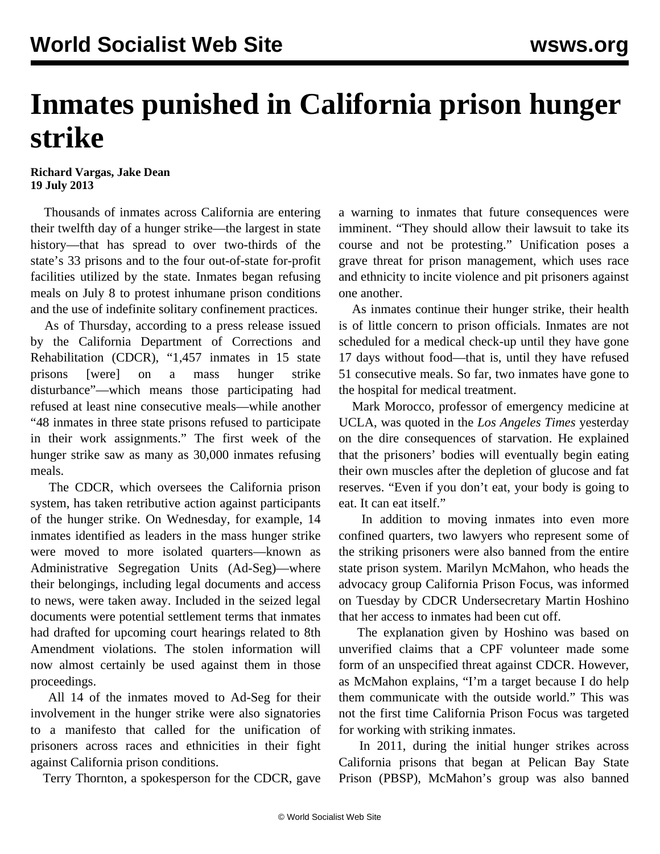## **Inmates punished in California prison hunger strike**

**Richard Vargas, Jake Dean 19 July 2013**

 Thousands of inmates across California are entering their twelfth day of a hunger strike—the largest in state history—that has spread to over two-thirds of the state's 33 prisons and to the four out-of-state for-profit facilities utilized by the state. Inmates began refusing meals on July 8 to protest inhumane prison conditions and the use of indefinite solitary confinement practices.

 As of Thursday, according to a press release issued by the California Department of Corrections and Rehabilitation (CDCR), "1,457 inmates in 15 state prisons [were] on a mass hunger strike disturbance"—which means those participating had refused at least nine consecutive meals—while another "48 inmates in three state prisons refused to participate in their work assignments." The first week of the hunger strike saw as many as 30,000 inmates refusing meals.

 The CDCR, which oversees the California prison system, has taken retributive action against participants of the hunger strike. On Wednesday, for example, 14 inmates identified as leaders in the mass hunger strike were moved to more isolated quarters—known as Administrative Segregation Units (Ad-Seg)—where their belongings, including legal documents and access to news, were taken away. Included in the seized legal documents were potential settlement terms that inmates had drafted for upcoming court hearings related to 8th Amendment violations. The stolen information will now almost certainly be used against them in those proceedings.

 All 14 of the inmates moved to Ad-Seg for their involvement in the hunger strike were also signatories to a manifesto that called for the unification of prisoners across races and ethnicities in their fight against California prison conditions.

Terry Thornton, a spokesperson for the CDCR, gave

a warning to inmates that future consequences were imminent. "They should allow their lawsuit to take its course and not be protesting." Unification poses a grave threat for prison management, which uses race and ethnicity to incite violence and pit prisoners against one another.

 As inmates continue their hunger strike, their health is of little concern to prison officials. Inmates are not scheduled for a medical check-up until they have gone 17 days without food—that is, until they have refused 51 consecutive meals. So far, two inmates have gone to the hospital for medical treatment.

 Mark Morocco, professor of emergency medicine at UCLA, was quoted in the *Los Angeles Times* yesterday on the dire consequences of starvation. He explained that the prisoners' bodies will eventually begin eating their own muscles after the depletion of glucose and fat reserves. "Even if you don't eat, your body is going to eat. It can eat itself."

 In addition to moving inmates into even more confined quarters, two lawyers who represent some of the striking prisoners were also banned from the entire state prison system. Marilyn McMahon, who heads the advocacy group California Prison Focus, was informed on Tuesday by CDCR Undersecretary Martin Hoshino that her access to inmates had been cut off.

 The explanation given by Hoshino was based on unverified claims that a CPF volunteer made some form of an unspecified threat against CDCR. However, as McMahon explains, "I'm a target because I do help them communicate with the outside world." This was not the first time California Prison Focus was targeted for working with striking inmates.

 In 2011, during the initial hunger strikes across California prisons that began at Pelican Bay State Prison (PBSP), McMahon's group was also banned